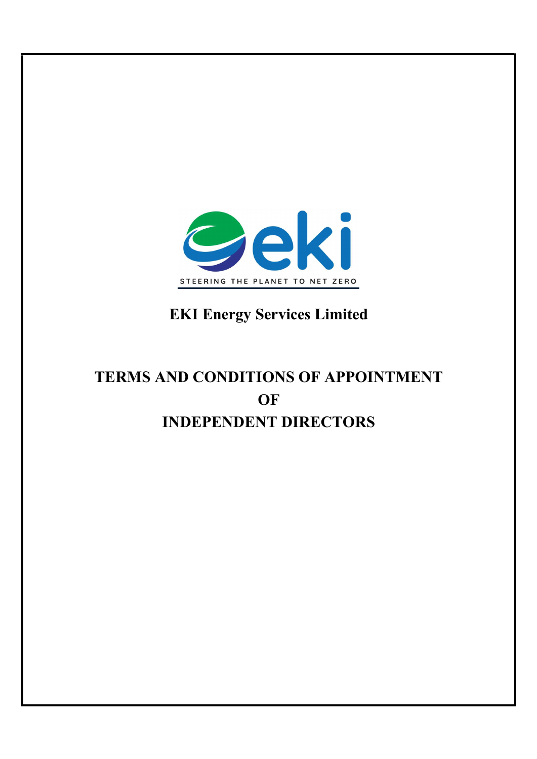

## EKI Energy Services Limited

# TERMS AND CONDITIONS OF APPOINTMENT **OF** INDEPENDENT DIRECTORS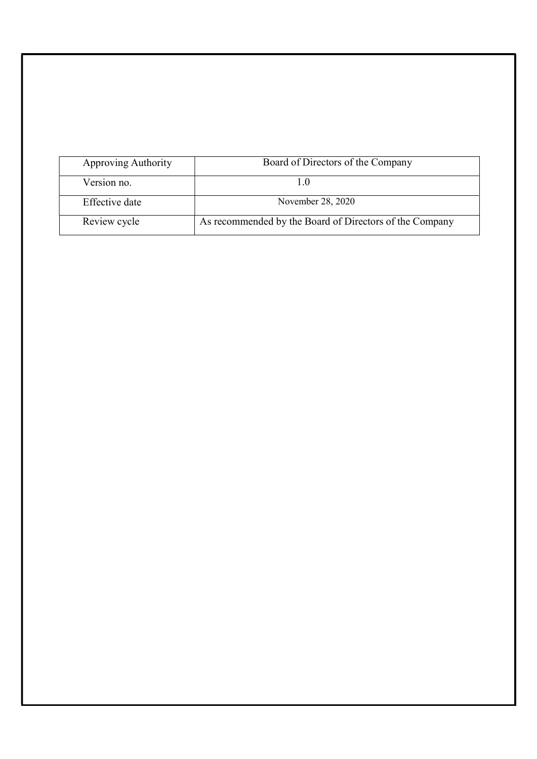| Approving Authority | Board of Directors of the Company                       |
|---------------------|---------------------------------------------------------|
| Version no.         |                                                         |
| Effective date      | November 28, 2020                                       |
| Review cycle        | As recommended by the Board of Directors of the Company |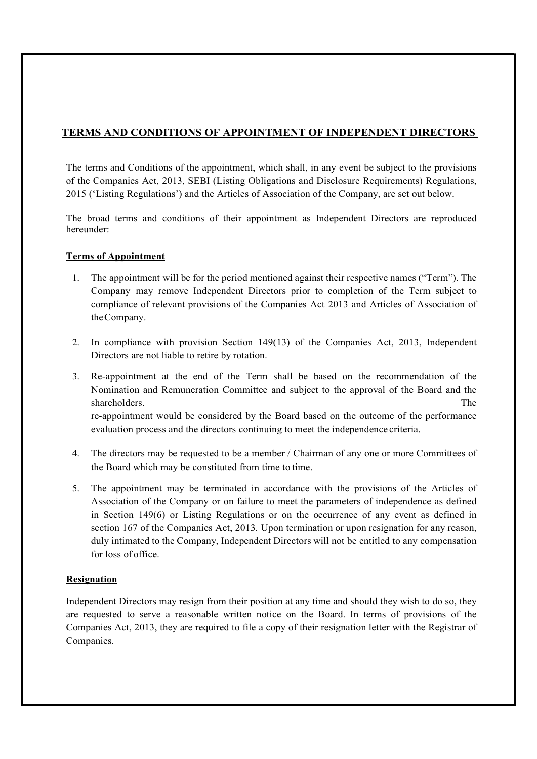## TERMS AND CONDITIONS OF APPOINTMENT OF INDEPENDENT DIRECTORS

The terms and Conditions of the appointment, which shall, in any event be subject to the provisions of the Companies Act, 2013, SEBI (Listing Obligations and Disclosure Requirements) Regulations, 2015 ('Listing Regulations') and the Articles of Association of the Company, are set out below.

The broad terms and conditions of their appointment as Independent Directors are reproduced hereunder:

## Terms of Appointment

- 1. The appointment will be for the period mentioned against their respective names ("Term"). The Company may remove Independent Directors prior to completion of the Term subject to compliance of relevant provisions of the Companies Act 2013 and Articles of Association of the Company.
- 2. In compliance with provision Section 149(13) of the Companies Act, 2013, Independent Directors are not liable to retire by rotation.
- 3. Re-appointment at the end of the Term shall be based on the recommendation of the Nomination and Remuneration Committee and subject to the approval of the Board and the shareholders. The The state of the state of the state of the state of the state of the state of the state of the state of the state of the state of the state of the state of the state of the state of the state of the state re-appointment would be considered by the Board based on the outcome of the performance evaluation process and the directors continuing to meet the independence criteria.
- 4. The directors may be requested to be a member / Chairman of any one or more Committees of the Board which may be constituted from time to time.
- 5. The appointment may be terminated in accordance with the provisions of the Articles of Association of the Company or on failure to meet the parameters of independence as defined in Section 149(6) or Listing Regulations or on the occurrence of any event as defined in section 167 of the Companies Act, 2013. Upon termination or upon resignation for any reason, duly intimated to the Company, Independent Directors will not be entitled to any compensation for loss of office.

## Resignation

Independent Directors may resign from their position at any time and should they wish to do so, they are requested to serve a reasonable written notice on the Board. In terms of provisions of the Companies Act, 2013, they are required to file a copy of their resignation letter with the Registrar of Companies.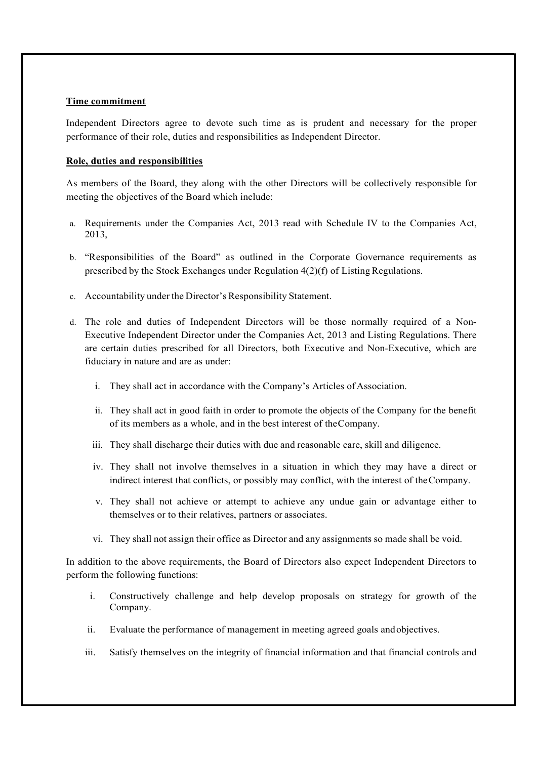#### Time commitment

Independent Directors agree to devote such time as is prudent and necessary for the proper performance of their role, duties and responsibilities as Independent Director.

#### Role, duties and responsibilities

As members of the Board, they along with the other Directors will be collectively responsible for meeting the objectives of the Board which include:

- a. Requirements under the Companies Act, 2013 read with Schedule IV to the Companies Act, 2013,
- b. "Responsibilities of the Board" as outlined in the Corporate Governance requirements as prescribed by the Stock Exchanges under Regulation 4(2)(f) of Listing Regulations.
- c. Accountability under the Director's Responsibility Statement.
- d. The role and duties of Independent Directors will be those normally required of a Non-Executive Independent Director under the Companies Act, 2013 and Listing Regulations. There are certain duties prescribed for all Directors, both Executive and Non-Executive, which are fiduciary in nature and are as under:
	- i. They shall act in accordance with the Company's Articles of Association.
	- ii. They shall act in good faith in order to promote the objects of the Company for the benefit of its members as a whole, and in the best interest of the Company.
	- iii. They shall discharge their duties with due and reasonable care, skill and diligence.
	- iv. They shall not involve themselves in a situation in which they may have a direct or indirect interest that conflicts, or possibly may conflict, with the interest of the Company.
	- v. They shall not achieve or attempt to achieve any undue gain or advantage either to themselves or to their relatives, partners or associates.
	- vi. They shall not assign their office as Director and any assignments so made shall be void.

In addition to the above requirements, the Board of Directors also expect Independent Directors to perform the following functions:

- i. Constructively challenge and help develop proposals on strategy for growth of the Company.
- ii. Evaluate the performance of management in meeting agreed goals and objectives.
- iii. Satisfy themselves on the integrity of financial information and that financial controls and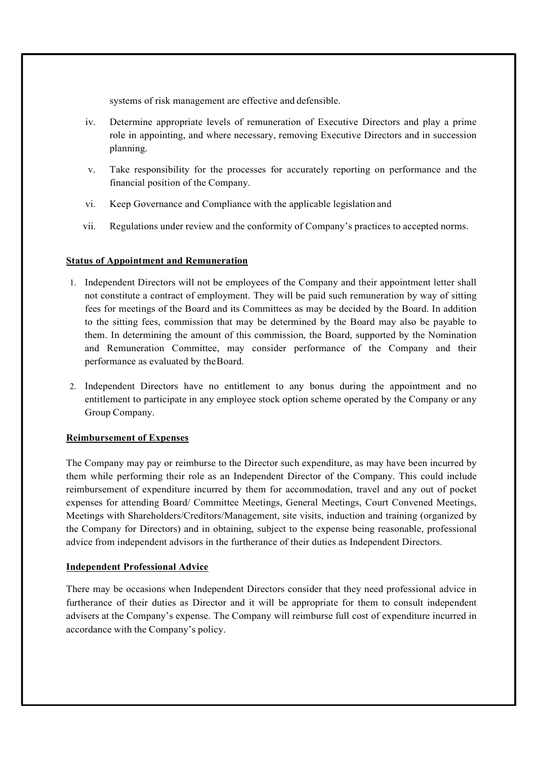systems of risk management are effective and defensible.

- iv. Determine appropriate levels of remuneration of Executive Directors and play a prime role in appointing, and where necessary, removing Executive Directors and in succession planning.
- v. Take responsibility for the processes for accurately reporting on performance and the financial position of the Company.
- vi. Keep Governance and Compliance with the applicable legislation and
- vii. Regulations under review and the conformity of Company's practices to accepted norms.

## Status of Appointment and Remuneration

- 1. Independent Directors will not be employees of the Company and their appointment letter shall not constitute a contract of employment. They will be paid such remuneration by way of sitting fees for meetings of the Board and its Committees as may be decided by the Board. In addition to the sitting fees, commission that may be determined by the Board may also be payable to them. In determining the amount of this commission, the Board, supported by the Nomination and Remuneration Committee, may consider performance of the Company and their performance as evaluated by the Board.
- 2. Independent Directors have no entitlement to any bonus during the appointment and no entitlement to participate in any employee stock option scheme operated by the Company or any Group Company.

#### Reimbursement of Expenses

The Company may pay or reimburse to the Director such expenditure, as may have been incurred by them while performing their role as an Independent Director of the Company. This could include reimbursement of expenditure incurred by them for accommodation, travel and any out of pocket expenses for attending Board/ Committee Meetings, General Meetings, Court Convened Meetings, Meetings with Shareholders/Creditors/Management, site visits, induction and training (organized by the Company for Directors) and in obtaining, subject to the expense being reasonable, professional advice from independent advisors in the furtherance of their duties as Independent Directors.

#### Independent Professional Advice

There may be occasions when Independent Directors consider that they need professional advice in furtherance of their duties as Director and it will be appropriate for them to consult independent advisers at the Company's expense. The Company will reimburse full cost of expenditure incurred in accordance with the Company's policy.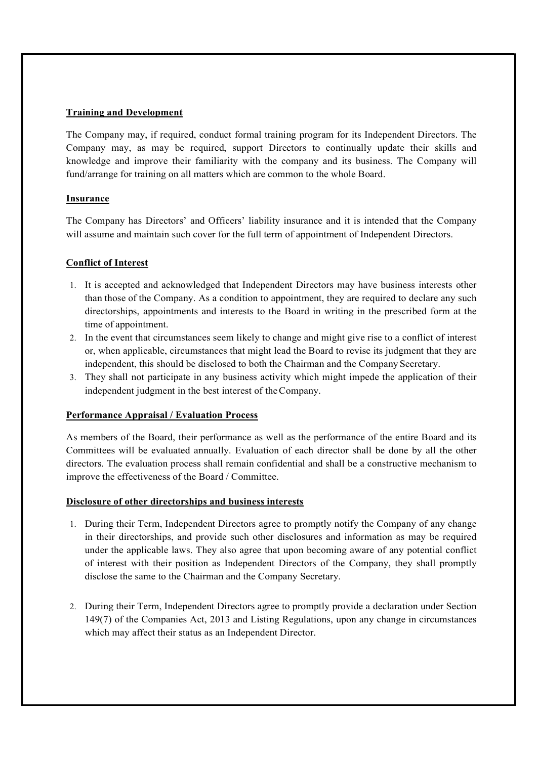## Training and Development

The Company may, if required, conduct formal training program for its Independent Directors. The Company may, as may be required, support Directors to continually update their skills and knowledge and improve their familiarity with the company and its business. The Company will fund/arrange for training on all matters which are common to the whole Board.

## **Insurance**

The Company has Directors' and Officers' liability insurance and it is intended that the Company will assume and maintain such cover for the full term of appointment of Independent Directors.

## Conflict of Interest

- 1. It is accepted and acknowledged that Independent Directors may have business interests other than those of the Company. As a condition to appointment, they are required to declare any such directorships, appointments and interests to the Board in writing in the prescribed form at the time of appointment.
- 2. In the event that circumstances seem likely to change and might give rise to a conflict of interest or, when applicable, circumstances that might lead the Board to revise its judgment that they are independent, this should be disclosed to both the Chairman and the Company Secretary.
- 3. They shall not participate in any business activity which might impede the application of their independent judgment in the best interest of the Company.

#### Performance Appraisal / Evaluation Process

As members of the Board, their performance as well as the performance of the entire Board and its Committees will be evaluated annually. Evaluation of each director shall be done by all the other directors. The evaluation process shall remain confidential and shall be a constructive mechanism to improve the effectiveness of the Board / Committee.

#### Disclosure of other directorships and business interests

- 1. During their Term, Independent Directors agree to promptly notify the Company of any change in their directorships, and provide such other disclosures and information as may be required under the applicable laws. They also agree that upon becoming aware of any potential conflict of interest with their position as Independent Directors of the Company, they shall promptly disclose the same to the Chairman and the Company Secretary.
- 2. During their Term, Independent Directors agree to promptly provide a declaration under Section 149(7) of the Companies Act, 2013 and Listing Regulations, upon any change in circumstances which may affect their status as an Independent Director.